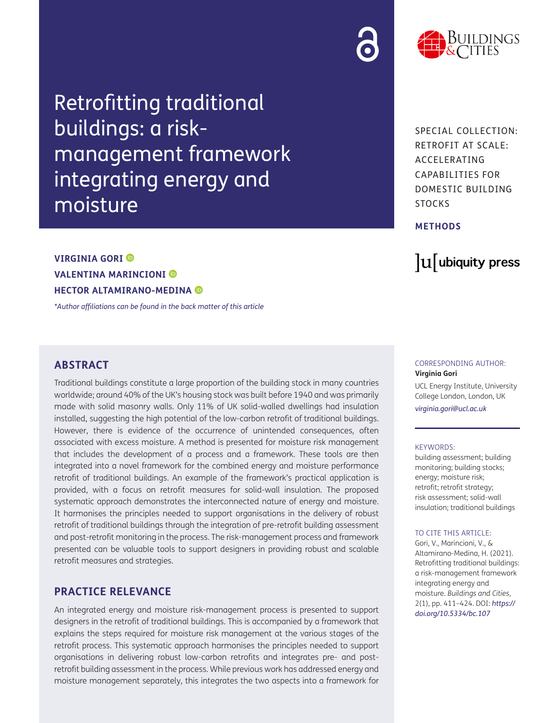Retrofitting traditional buildings: a riskmanagement framework integrating energy and moisture



SPECIAL COLLECTION: RETROFIT AT SCALE: ACCELERATING CAPABILITIES FOR DOMESTIC BUILDING **STOCKS** 

#### **METHODS**

## lu ubiquity press

### **VIRGINIA GORI VALENTINA MARINCIONI HECTOR ALTAMIRANO-MEDINA**

*[\\*Author affiliations can be found in the back matter of this article](#page-11-0)*

#### **ABSTRACT**

Traditional buildings constitute a large proportion of the building stock in many countries worldwide; around 40% of the UK's housing stock was built before 1940 and was primarily made with solid masonry walls. Only 11% of UK solid-walled dwellings had insulation installed, suggesting the high potential of the low-carbon retrofit of traditional buildings. However, there is evidence of the occurrence of unintended consequences, often associated with excess moisture. A method is presented for moisture risk management that includes the development of a process and a framework. These tools are then integrated into a novel framework for the combined energy and moisture performance retrofit of traditional buildings. An example of the framework's practical application is provided, with a focus on retrofit measures for solid-wall insulation. The proposed systematic approach demonstrates the interconnected nature of energy and moisture. It harmonises the principles needed to support organisations in the delivery of robust retrofit of traditional buildings through the integration of pre-retrofit building assessment and post-retrofit monitoring in the process. The risk-management process and framework presented can be valuable tools to support designers in providing robust and scalable retrofit measures and strategies.

#### **PRACTICE RELEVANCE**

An integrated energy and moisture risk-management process is presented to support designers in the retrofit of traditional buildings. This is accompanied by a framework that explains the steps required for moisture risk management at the various stages of the retrofit process. This systematic approach harmonises the principles needed to support organisations in delivering robust low-carbon retrofits and integrates pre- and postretrofit building assessment in the process. While previous work has addressed energy and moisture management separately, this integrates the two aspects into a framework for

#### CORRESPONDING AUTHOR: **Virginia Gori**

UCL Energy Institute, University College London, London, UK

*[virginia.gori@ucl.ac.uk](mailto:virginia.gori@ucl.ac.uk)*

#### KEYWORDS:

building assessment; building monitoring; building stocks; energy; moisture risk; retrofit; retrofit strategy; risk assessment; solid-wall insulation; traditional buildings

#### TO CITE THIS ARTICLE:

Gori, V., Marincioni, V., & Altamirano-Medina, H. (2021). Retrofitting traditional buildings: a risk-management framework integrating energy and moisture. *Buildings and Cities*, 2(1), pp. 411–424. DOI: *[https://](https://doi.org/10.5334/bc.107) [doi.org/10.5334/bc.107](https://doi.org/10.5334/bc.107)*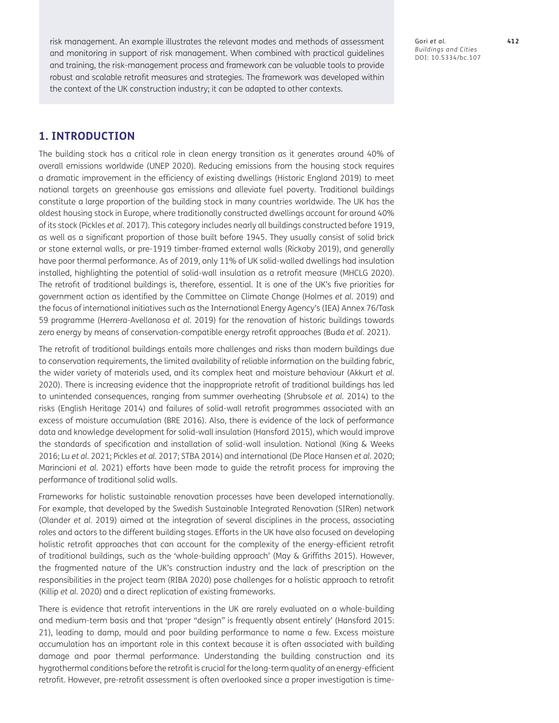risk management. An example illustrates the relevant modes and methods of assessment and monitoring in support of risk management. When combined with practical guidelines and training, the risk-management process and framework can be valuable tools to provide robust and scalable retrofit measures and strategies. The framework was developed within the context of the UK construction industry; it can be adapted to other contexts.

Gori *et al.* **412** *Buildings and Cities* DOI: [10.5334/bc.107](https://doi.org/10.5334/bc.107)

#### **1. INTRODUCTION**

The building stock has a critical role in clean energy transition as it generates around 40% of overall emissions worldwide (UNEP 2020). Reducing emissions from the housing stock requires a dramatic improvement in the efficiency of existing dwellings (Historic England 2019) to meet national targets on greenhouse gas emissions and alleviate fuel poverty. Traditional buildings constitute a large proportion of the building stock in many countries worldwide. The UK has the oldest housing stock in Europe, where traditionally constructed dwellings account for around 40% of its stock (Pickles *et al.* 2017). This category includes nearly all buildings constructed before 1919, as well as a significant proportion of those built before 1945. They usually consist of solid brick or stone external walls, or pre-1919 timber-framed external walls (Rickaby 2019), and generally have poor thermal performance. As of 2019, only 11% of UK solid-walled dwellings had insulation installed, highlighting the potential of solid-wall insulation as a retrofit measure (MHCLG 2020). The retrofit of traditional buildings is, therefore, essential. It is one of the UK's five priorities for government action as identified by the Committee on Climate Change (Holmes *et al.* 2019) and the focus of international initiatives such as the International Energy Agency's (IEA) Annex 76/Task 59 programme (Herrera-Avellanosa *et al.* 2019) for the renovation of historic buildings towards zero energy by means of conservation-compatible energy retrofit approaches (Buda *et al.* 2021).

The retrofit of traditional buildings entails more challenges and risks than modern buildings due to conservation requirements, the limited availability of reliable information on the building fabric, the wider variety of materials used, and its complex heat and moisture behaviour (Akkurt *et al.* 2020). There is increasing evidence that the inappropriate retrofit of traditional buildings has led to unintended consequences, ranging from summer overheating (Shrubsole *et al.* 2014) to the risks (English Heritage 2014) and failures of solid-wall retrofit programmes associated with an excess of moisture accumulation (BRE 2016). Also, there is evidence of the lack of performance data and knowledge development for solid-wall insulation (Hansford 2015), which would improve the standards of specification and installation of solid-wall insulation. National (King & Weeks 2016; Lu *et al.* 2021; Pickles *et al.* 2017; STBA 2014) and international (De Place Hansen *et al.* 2020; Marincioni *et al.* 2021) efforts have been made to guide the retrofit process for improving the performance of traditional solid walls.

Frameworks for holistic sustainable renovation processes have been developed internationally. For example, that developed by the Swedish Sustainable Integrated Renovation (SIRen) network (Olander *et al.* 2019) aimed at the integration of several disciplines in the process, associating roles and actors to the different building stages. Efforts in the UK have also focused on developing holistic retrofit approaches that can account for the complexity of the energy-efficient retrofit of traditional buildings, such as the 'whole-building approach' (May & Griffiths 2015). However, the fragmented nature of the UK's construction industry and the lack of prescription on the responsibilities in the project team (RIBA 2020) pose challenges for a holistic approach to retrofit (Killip *et al.* 2020) and a direct replication of existing frameworks.

There is evidence that retrofit interventions in the UK are rarely evaluated on a whole-building and medium-term basis and that 'proper "design" is frequently absent entirely' (Hansford 2015: 21), leading to damp, mould and poor building performance to name a few. Excess moisture accumulation has an important role in this context because it is often associated with building damage and poor thermal performance. Understanding the building construction and its hygrothermal conditions before the retrofit is crucial for the long-term quality of an energy-efficient retrofit. However, pre-retrofit assessment is often overlooked since a proper investigation is time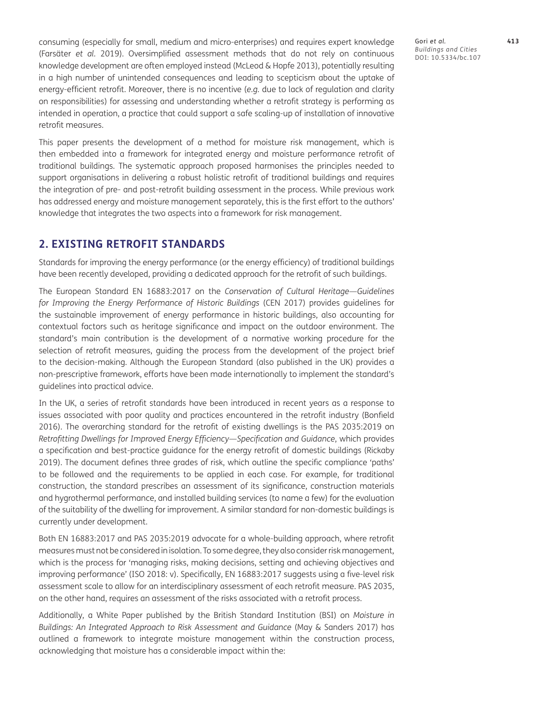consuming (especially for small, medium and micro-enterprises) and requires expert knowledge (Farsäter *et al.* 2019). Oversimplified assessment methods that do not rely on continuous knowledge development are often employed instead (McLeod & Hopfe 2013), potentially resulting in a high number of unintended consequences and leading to scepticism about the uptake of energy-efficient retrofit. Moreover, there is no incentive (*e.g.* due to lack of regulation and clarity on responsibilities) for assessing and understanding whether a retrofit strategy is performing as intended in operation, a practice that could support a safe scaling-up of installation of innovative retrofit measures.

This paper presents the development of a method for moisture risk management, which is then embedded into a framework for integrated energy and moisture performance retrofit of traditional buildings. The systematic approach proposed harmonises the principles needed to support organisations in delivering a robust holistic retrofit of traditional buildings and requires the integration of pre- and post-retrofit building assessment in the process. While previous work has addressed energy and moisture management separately, this is the first effort to the authors' knowledge that integrates the two aspects into a framework for risk management.

#### **2. EXISTING RETROFIT STANDARDS**

Standards for improving the energy performance (or the energy efficiency) of traditional buildings have been recently developed, providing a dedicated approach for the retrofit of such buildings.

The European Standard EN 16883:2017 on the *Conservation of Cultural Heritage—Guidelines for Improving the Energy Performance of Historic Buildings* (CEN 2017) provides guidelines for the sustainable improvement of energy performance in historic buildings, also accounting for contextual factors such as heritage significance and impact on the outdoor environment. The standard's main contribution is the development of a normative working procedure for the selection of retrofit measures, guiding the process from the development of the project brief to the decision-making. Although the European Standard (also published in the UK) provides a non-prescriptive framework, efforts have been made internationally to implement the standard's guidelines into practical advice.

In the UK, a series of retrofit standards have been introduced in recent years as a response to issues associated with poor quality and practices encountered in the retrofit industry (Bonfield 2016). The overarching standard for the retrofit of existing dwellings is the PAS 2035:2019 on *Retrofitting Dwellings for Improved Energy Efficiency—Specification and Guidance*, which provides a specification and best-practice guidance for the energy retrofit of domestic buildings (Rickaby 2019). The document defines three grades of risk, which outline the specific compliance 'paths' to be followed and the requirements to be applied in each case. For example, for traditional construction, the standard prescribes an assessment of its significance, construction materials and hygrothermal performance, and installed building services (to name a few) for the evaluation of the suitability of the dwelling for improvement. A similar standard for non-domestic buildings is currently under development.

Both EN 16883:2017 and PAS 2035:2019 advocate for a whole-building approach, where retrofit measures must not be considered in isolation. To some degree, they also consider risk management, which is the process for 'managing risks, making decisions, setting and achieving objectives and improving performance' (ISO 2018: v). Specifically, EN 16883:2017 suggests using a five-level risk assessment scale to allow for an interdisciplinary assessment of each retrofit measure. PAS 2035, on the other hand, requires an assessment of the risks associated with a retrofit process.

Additionally, a White Paper published by the British Standard Institution (BSI) on *Moisture in Buildings: An Integrated Approach to Risk Assessment and Guidance* (May & Sanders 2017) has outlined a framework to integrate moisture management within the construction process, acknowledging that moisture has a considerable impact within the: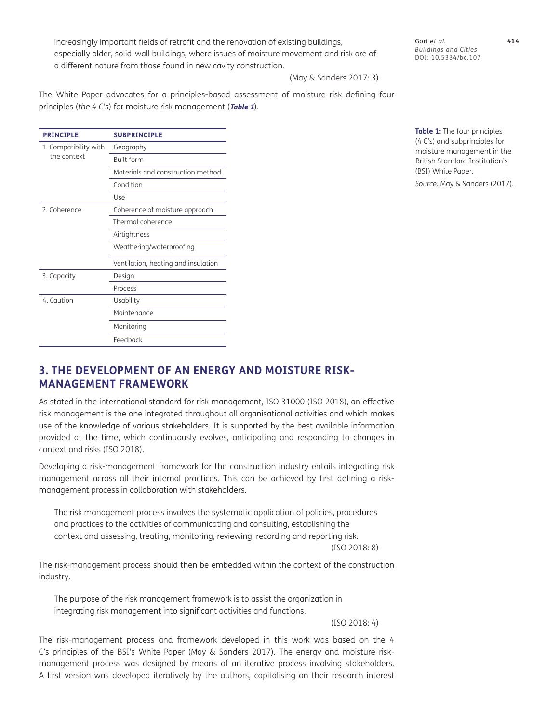increasingly important fields of retrofit and the renovation of existing buildings, especially older, solid-wall buildings, where issues of moisture movement and risk are of a different nature from those found in new cavity construction.

Gori *et al.* **414** *Buildings and Cities* DOI: 10.5334/bc.107

(May & Sanders 2017: 3)

The White Paper advocates for a principles-based assessment of moisture risk defining four principles (*the 4 C's*) for moisture risk management (**[Table 1](#page-3-0)**).

| <b>PRINCIPLE</b>                     | <b>SUBPRINCIPLE</b>                 |  |
|--------------------------------------|-------------------------------------|--|
| 1. Compatibility with<br>the context | Geography                           |  |
|                                      | <b>Built form</b>                   |  |
|                                      | Materials and construction method   |  |
|                                      | Condition                           |  |
|                                      | Use                                 |  |
| 2. Coherence                         | Coherence of moisture approach      |  |
|                                      | Thermal coherence                   |  |
|                                      | Airtightness                        |  |
|                                      | Weathering/waterproofing            |  |
|                                      | Ventilation, heating and insulation |  |
| 3. Capacity                          | Design                              |  |
|                                      | Process                             |  |
| 4. Caution                           | Usability                           |  |
|                                      | Maintenance                         |  |
|                                      | Monitoring                          |  |
|                                      | Feedback                            |  |

<span id="page-3-0"></span>**Table 1:** The four principles (4 C's) and subprinciples for moisture management in the British Standard Institution's (BSI) White Paper.

*Source:* May & Sanders (2017).

#### **3. THE DEVELOPMENT OF AN ENERGY AND MOISTURE RISK-MANAGEMENT FRAMEWORK**

As stated in the international standard for risk management, ISO 31000 (ISO 2018), an effective risk management is the one integrated throughout all organisational activities and which makes use of the knowledge of various stakeholders. It is supported by the best available information provided at the time, which continuously evolves, anticipating and responding to changes in context and risks (ISO 2018).

Developing a risk-management framework for the construction industry entails integrating risk management across all their internal practices. This can be achieved by first defining a riskmanagement process in collaboration with stakeholders.

The risk management process involves the systematic application of policies, procedures and practices to the activities of communicating and consulting, establishing the context and assessing, treating, monitoring, reviewing, recording and reporting risk.

(ISO 2018: 8)

The risk-management process should then be embedded within the context of the construction industry.

The purpose of the risk management framework is to assist the organization in integrating risk management into significant activities and functions.

(ISO 2018: 4)

The risk-management process and framework developed in this work was based on the 4 C's principles of the BSI's White Paper (May & Sanders 2017). The energy and moisture riskmanagement process was designed by means of an iterative process involving stakeholders. A first version was developed iteratively by the authors, capitalising on their research interest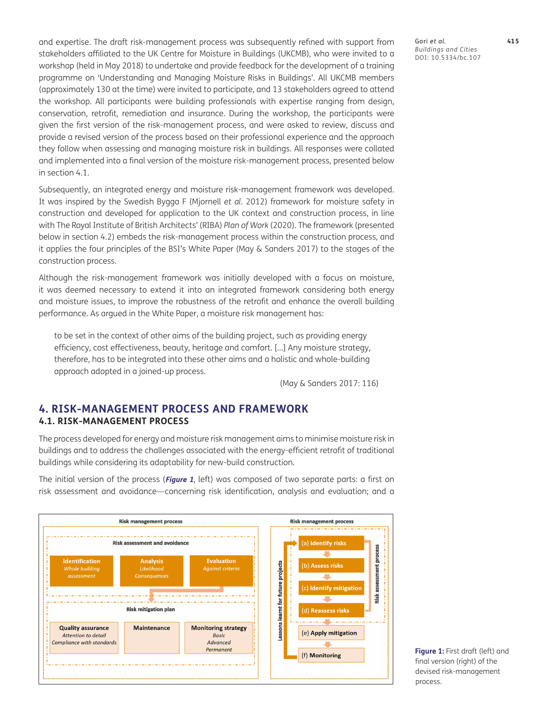and expertise. The draft risk-management process was subsequently refined with support from stakeholders affiliated to the UK Centre for Moisture in Buildings (UKCMB), who were invited to a workshop (held in May 2018) to undertake and provide feedback for the development of a training programme on 'Understanding and Managing Moisture Risks in Buildings'. All UKCMB members (approximately 130 at the time) were invited to participate, and 13 stakeholders agreed to attend the workshop. All participants were building professionals with expertise ranging from design, conservation, retrofit, remediation and insurance. During the workshop, the participants were given the first version of the risk-management process, and were asked to review, discuss and provide a revised version of the process based on their professional experience and the approach they follow when assessing and managing moisture risk in buildings. All responses were collated and implemented into a final version of the moisture risk-management process, presented below in section 4.1.

Subsequently, an integrated energy and moisture risk-management framework was developed. It was inspired by the Swedish Bygga F (Mjornell *et al.* 2012) framework for moisture safety in construction and developed for application to the UK context and construction process, in line with The Royal Institute of British Architects' (RIBA) *Plan of Work* (2020). The framework (presented below in section 4.2) embeds the risk-management process within the construction process, and it applies the four principles of the BSI's White Paper (May & Sanders 2017) to the stages of the construction process.

Although the risk-management framework was initially developed with a focus on moisture, it was deemed necessary to extend it into an integrated framework considering both energy and moisture issues, to improve the robustness of the retrofit and enhance the overall building performance. As argued in the White Paper, a moisture risk management has:

to be set in the context of other aims of the building project, such as providing energy efficiency, cost effectiveness, beauty, heritage and comfort. […] Any moisture strategy, therefore, has to be integrated into these other aims and a holistic and whole-building approach adopted in a joined-up process.

(May & Sanders 2017: 116)

#### **4. RISK-MANAGEMENT PROCESS AND FRAMEWORK 4.1. RISK-MANAGEMENT PROCESS**

The process developed for energy and moisture risk management aims to minimise moisture risk in buildings and to address the challenges associated with the energy-efficient retrofit of traditional buildings while considering its adaptability for new-build construction.

The initial version of the process (**[Figure 1](#page-4-0)**, left) was composed of two separate parts: a first on risk assessment and avoidance—concerning risk identification, analysis and evaluation; and a



<span id="page-4-0"></span>**Figure 1:** First draft (left) and final version (right) of the devised risk-management process.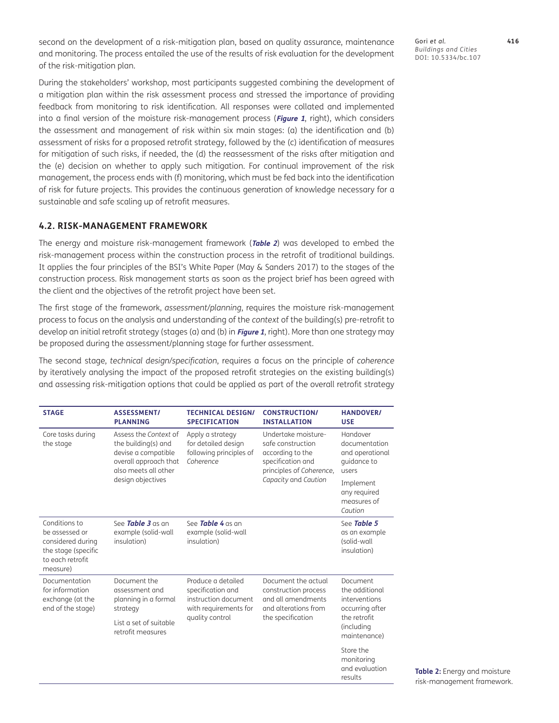second on the development of a risk-mitigation plan, based on quality assurance, maintenance and monitoring. The process entailed the use of the results of risk evaluation for the development of the risk-mitigation plan.

During the stakeholders' workshop, most participants suggested combining the development of a mitigation plan within the risk assessment process and stressed the importance of providing feedback from monitoring to risk identification. All responses were collated and implemented into a final version of the moisture risk-management process (**[Figure 1](#page-4-0)**, right), which considers the assessment and management of risk within six main stages: (a) the identification and (b) assessment of risks for a proposed retrofit strategy, followed by the (c) identification of measures for mitigation of such risks, if needed, the (d) the reassessment of the risks after mitigation and the (e) decision on whether to apply such mitigation. For continual improvement of the risk management, the process ends with (f) monitoring, which must be fed back into the identification of risk for future projects. This provides the continuous generation of knowledge necessary for a sustainable and safe scaling up of retrofit measures.

#### **4.2. RISK-MANAGEMENT FRAMEWORK**

The energy and moisture risk-management framework (**[Table 2](#page-5-0)**) was developed to embed the risk-management process within the construction process in the retrofit of traditional buildings. It applies the four principles of the BSI's White Paper (May & Sanders 2017) to the stages of the construction process. Risk management starts as soon as the project brief has been agreed with the client and the objectives of the retrofit project have been set.

The first stage of the framework, *assessment/planning*, requires the moisture risk-management process to focus on the analysis and understanding of the *context* of the building(s) pre-retrofit to develop an initial retrofit strategy (stages (a) and (b) in **[Figure 1](#page-4-0)**, right). More than one strategy may be proposed during the assessment/planning stage for further assessment.

The second stage, *technical design/specification*, requires a focus on the principle of *coherence* by iteratively analysing the impact of the proposed retrofit strategies on the existing building(s) and assessing risk-mitigation options that could be applied as part of the overall retrofit strategy

<span id="page-5-0"></span>

| <b>STAGE</b>                                                                                                | <b>ASSESSMENT/</b><br><b>PLANNING</b>                                                                                | <b>TECHNICAL DESIGN/</b><br><b>SPECIFICATION</b>                                                            | <b>CONSTRUCTION/</b><br><b>INSTALLATION</b>                                                                                           | <b>HANDOVER/</b><br><b>USE</b>                                                                               |
|-------------------------------------------------------------------------------------------------------------|----------------------------------------------------------------------------------------------------------------------|-------------------------------------------------------------------------------------------------------------|---------------------------------------------------------------------------------------------------------------------------------------|--------------------------------------------------------------------------------------------------------------|
| Core tasks during<br>the stage                                                                              | Assess the Context of<br>the building(s) and<br>devise a compatible<br>overall approach that<br>also meets all other | Apply a strategy<br>for detailed design<br>following principles of<br>Coherence                             | Undertake moisture-<br>safe construction<br>according to the<br>specification and<br>principles of Coherence,<br>Capacity and Caution | Handover<br>documentation<br>and operational<br>quidance to<br>users                                         |
|                                                                                                             | design objectives                                                                                                    |                                                                                                             |                                                                                                                                       | Implement<br>any required<br>measures of<br>Caution                                                          |
| Conditions to<br>be assessed or<br>considered during<br>the stage (specific<br>to each retrofit<br>measure) | See <b>Table 3</b> as an<br>example (solid-wall<br>insulation)                                                       | See <b>Table 4</b> as an<br>example (solid-wall<br>insulation)                                              |                                                                                                                                       | See Table 5<br>as an example<br>(solid-wall<br>insulation)                                                   |
| Documentation<br>Document the<br>for information<br>exchange (at the<br>end of the stage)<br>strategy       | assessment and<br>planning in a formal                                                                               | Produce a detailed<br>specification and<br>instruction document<br>with requirements for<br>quality control | Document the actual<br>construction process<br>and all amendments<br>and alterations from<br>the specification                        | Document<br>the additional<br>interventions<br>occurring after<br>the retrofit<br>(including<br>maintenance) |
|                                                                                                             | List a set of suitable<br>retrofit measures                                                                          |                                                                                                             |                                                                                                                                       |                                                                                                              |
|                                                                                                             |                                                                                                                      |                                                                                                             |                                                                                                                                       | Store the<br>monitoring<br>and evaluation<br>results                                                         |

Gori *et al.* **416** *Buildings and Cities* DOI: 10.5334/bc.107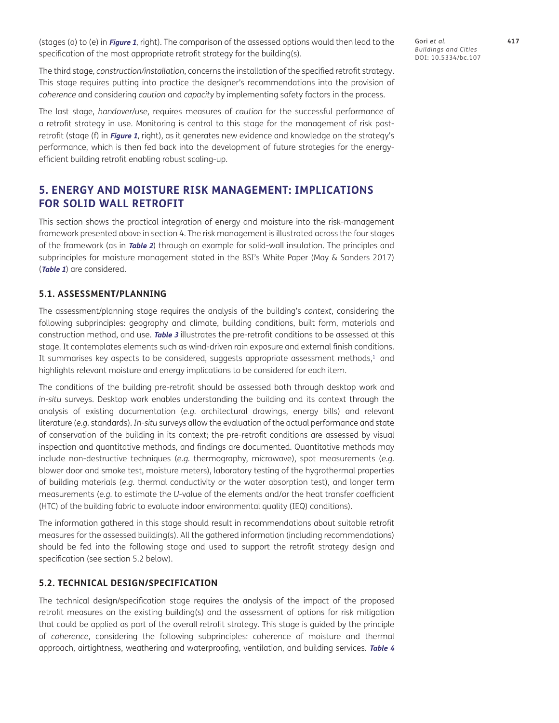(stages (a) to (e) in **[Figure 1](#page-4-0)**, right). The comparison of the assessed options would then lead to the specification of the most appropriate retrofit strategy for the building(s).

Gori *et al.* **417** *Buildings and Cities* DOI: 10.5334/bc.107

The third stage, *construction/installation*, concerns the installation of the specified retrofit strategy. This stage requires putting into practice the designer's recommendations into the provision of *coherence* and considering *caution* and *capacity* by implementing safety factors in the process.

The last stage, *handover/use*, requires measures of *caution* for the successful performance of a retrofit strategy in use. Monitoring is central to this stage for the management of risk postretrofit (stage (f) in **[Figure 1](#page-4-0)**, right), as it generates new evidence and knowledge on the strategy's performance, which is then fed back into the development of future strategies for the energyefficient building retrofit enabling robust scaling-up.

#### **5. ENERGY AND MOISTURE RISK MANAGEMENT: IMPLICATIONS FOR SOLID WALL RETROFIT**

This section shows the practical integration of energy and moisture into the risk-management framework presented above in section 4. The risk management is illustrated across the four stages of the framework (as in **[Table 2](#page-5-0)**) through an example for solid-wall insulation. The principles and subprinciples for moisture management stated in the BSI's White Paper (May & Sanders 2017) (**[Table 1](#page-3-0)**) are considered.

#### **5.1. ASSESSMENT/PLANNING**

The assessment/planning stage requires the analysis of the building's *context*, considering the following subprinciples: geography and climate, building conditions, built form, materials and construction method, and use. **[Table 3](#page-7-0)** illustrates the pre-retrofit conditions to be assessed at this stage. It contemplates elements such as wind-driven rain exposure and external finish conditions. It summarises key aspects to be considered, suggests appropriate assessment methods, $1$  and highlights relevant moisture and energy implications to be considered for each item.

The conditions of the building pre-retrofit should be assessed both through desktop work and *in-situ* surveys. Desktop work enables understanding the building and its context through the analysis of existing documentation (*e.g.* architectural drawings, energy bills) and relevant literature (*e.g.* standards). *In-situ* surveys allow the evaluation of the actual performance and state of conservation of the building in its context; the pre-retrofit conditions are assessed by visual inspection and quantitative methods, and findings are documented. Quantitative methods may include non-destructive techniques (*e.g.* thermography, microwave), spot measurements (*e.g.* blower door and smoke test, moisture meters), laboratory testing of the hygrothermal properties of building materials (*e.g.* thermal conductivity or the water absorption test), and longer term measurements (*e.g.* to estimate the *U*-value of the elements and/or the heat transfer coefficient (HTC) of the building fabric to evaluate indoor environmental quality (IEQ) conditions).

The information gathered in this stage should result in recommendations about suitable retrofit measures for the assessed building(s). All the gathered information (including recommendations) should be fed into the following stage and used to support the retrofit strategy design and specification (see section 5.2 below).

#### **5.2. TECHNICAL DESIGN/SPECIFICATION**

The technical design/specification stage requires the analysis of the impact of the proposed retrofit measures on the existing building(s) and the assessment of options for risk mitigation that could be applied as part of the overall retrofit strategy. This stage is guided by the principle of *coherence*, considering the following subprinciples: coherence of moisture and thermal approach, airtightness, weathering and waterproofing, ventilation, and building services. **[Table 4](#page-8-0)**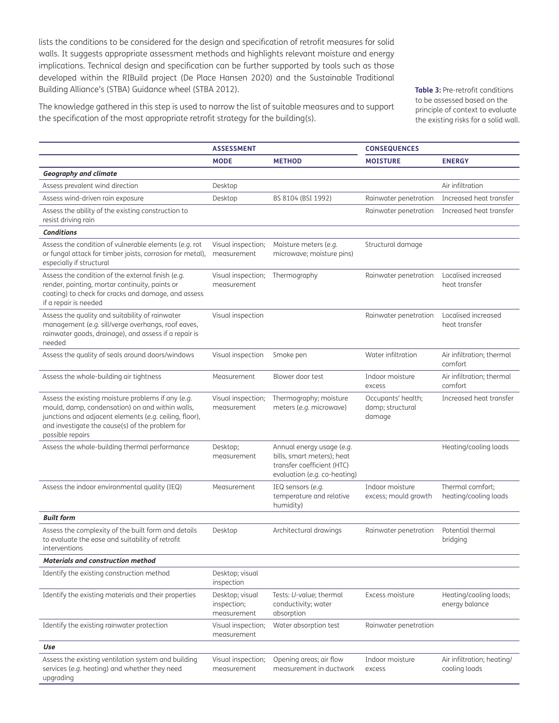lists the conditions to be considered for the design and specification of retrofit measures for solid walls. It suggests appropriate assessment methods and highlights relevant moisture and energy implications. Technical design and specification can be further supported by tools such as those developed within the RIBuild project (De Place Hansen 2020) and the Sustainable Traditional Building Alliance's (STBA) Guidance wheel (STBA 2012).

The knowledge gathered in this step is used to narrow the list of suitable measures and to support the specification of the most appropriate retrofit strategy for the building(s).

<span id="page-7-0"></span>**Table 3: Pre-retrofit conditions** to be assessed based on the principle of context to evaluate the existing risks for a solid wall.

|                                                                                                                                                                                                                                        | <b>ASSESSMENT</b>                             |                                                                                                                       | <b>CONSEQUENCES</b>                              |                                             |
|----------------------------------------------------------------------------------------------------------------------------------------------------------------------------------------------------------------------------------------|-----------------------------------------------|-----------------------------------------------------------------------------------------------------------------------|--------------------------------------------------|---------------------------------------------|
|                                                                                                                                                                                                                                        | <b>MODE</b>                                   | <b>METHOD</b>                                                                                                         | <b>MOISTURE</b>                                  | <b>ENERGY</b>                               |
| <b>Geography and climate</b>                                                                                                                                                                                                           |                                               |                                                                                                                       |                                                  |                                             |
| Assess prevalent wind direction                                                                                                                                                                                                        | Desktop                                       |                                                                                                                       |                                                  | Air infiltration                            |
| Assess wind-driven rain exposure                                                                                                                                                                                                       | Desktop                                       | BS 8104 (BSI 1992)                                                                                                    | Rainwater penetration                            | Increased heat transfer                     |
| Assess the ability of the existing construction to<br>resist driving rain                                                                                                                                                              |                                               |                                                                                                                       | Rainwater penetration                            | Increased heat transfer                     |
| <b>Conditions</b>                                                                                                                                                                                                                      |                                               |                                                                                                                       |                                                  |                                             |
| Assess the condition of vulnerable elements (e.g. rot<br>or fungal attack for timber joists, corrosion for metal),<br>especially if structural                                                                                         | Visual inspection;<br>measurement             | Moisture meters (e.g.<br>microwave; moisture pins)                                                                    | Structural damage                                |                                             |
| Assess the condition of the external finish (e.g.<br>render, pointing, mortar continuity, paints or<br>coating) to check for cracks and damage, and assess<br>if a repair is needed                                                    | Visual inspection;<br>measurement             | Thermography                                                                                                          | Rainwater penetration                            | Localised increased<br>heat transfer        |
| Assess the quality and suitability of rainwater<br>management (e.g. sill/verge overhangs, roof eaves,<br>rainwater goods, drainage), and assess if a repair is<br>needed                                                               | Visual inspection                             |                                                                                                                       | Rainwater penetration                            | Localised increased<br>heat transfer        |
| Assess the quality of seals around doors/windows                                                                                                                                                                                       | Visual inspection                             | Smoke pen                                                                                                             | Water infiltration                               | Air infiltration; thermal<br>comfort        |
| Assess the whole-building air tightness                                                                                                                                                                                                | Measurement                                   | Blower door test                                                                                                      | Indoor moisture<br>excess                        | Air infiltration; thermal<br>comfort        |
| Assess the existing moisture problems if any (e.g.<br>mould, damp, condensation) on and within walls,<br>junctions and adjacent elements (e.g. ceiling, floor),<br>and investigate the cause(s) of the problem for<br>possible repairs | Visual inspection;<br>measurement             | Thermography; moisture<br>meters (e.g. microwave)                                                                     | Occupants' health;<br>damp; structural<br>damage | Increased heat transfer                     |
| Assess the whole-building thermal performance                                                                                                                                                                                          | Desktop;<br>measurement                       | Annual energy usage (e.g.<br>bills, smart meters); heat<br>transfer coefficient (HTC)<br>evaluation (e.g. co-heating) |                                                  | Heating/cooling loads                       |
| Assess the indoor environmental quality (IEQ)                                                                                                                                                                                          | Measurement                                   | IEQ sensors (e.g.<br>temperature and relative<br>humidity)                                                            | Indoor moisture<br>excess; mould growth          | Thermal comfort;<br>heating/cooling loads   |
| <b>Built form</b>                                                                                                                                                                                                                      |                                               |                                                                                                                       |                                                  |                                             |
| Assess the complexity of the built form and details<br>to evaluate the ease and suitability of retrofit<br>interventions                                                                                                               | Desktop                                       | Architectural drawings                                                                                                | Rainwater penetration                            | Potential thermal<br>bridging               |
| <b>Materials and construction method</b>                                                                                                                                                                                               |                                               |                                                                                                                       |                                                  |                                             |
| Identify the existing construction method                                                                                                                                                                                              | Desktop; visual<br>inspection                 |                                                                                                                       |                                                  |                                             |
| Identify the existing materials and their properties                                                                                                                                                                                   | Desktop; visual<br>inspection;<br>measurement | Tests: U-value; thermal<br>conductivity; water<br>absorption                                                          | Excess moisture                                  | Heating/cooling loads;<br>energy balance    |
| Identify the existing rainwater protection                                                                                                                                                                                             | Visual inspection;<br>measurement             | Water absorption test                                                                                                 | Rainwater penetration                            |                                             |
| Use                                                                                                                                                                                                                                    |                                               |                                                                                                                       |                                                  |                                             |
| Assess the existing ventilation system and building<br>services (e.g. heating) and whether they need<br>upgrading                                                                                                                      | Visual inspection;<br>measurement             | Opening areas; air flow<br>measurement in ductwork                                                                    | Indoor moisture<br>excess                        | Air infiltration; heating/<br>cooling loads |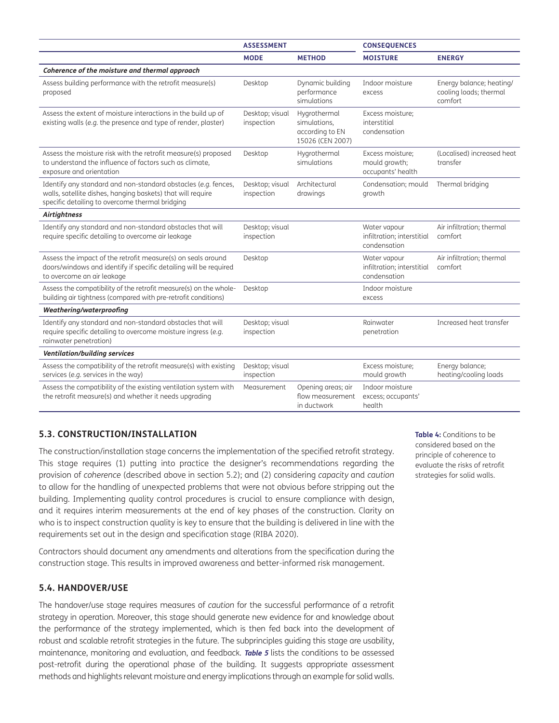|                                                                                                                                                                                  | <b>ASSESSMENT</b>             |                                                                     | <b>CONSEQUENCES</b>                                        |                                                               |
|----------------------------------------------------------------------------------------------------------------------------------------------------------------------------------|-------------------------------|---------------------------------------------------------------------|------------------------------------------------------------|---------------------------------------------------------------|
|                                                                                                                                                                                  | <b>MODE</b>                   | <b>METHOD</b>                                                       | <b>MOISTURE</b>                                            | <b>ENERGY</b>                                                 |
| Coherence of the moisture and thermal approach                                                                                                                                   |                               |                                                                     |                                                            |                                                               |
| Assess building performance with the retrofit measure(s)<br>proposed                                                                                                             | Desktop                       | Dynamic building<br>performance<br>simulations                      | Indoor moisture<br>excess                                  | Energy balance; heating/<br>cooling loads; thermal<br>comfort |
| Assess the extent of moisture interactions in the build up of<br>existing walls (e.g. the presence and type of render, plaster)                                                  | Desktop; visual<br>inspection | Hygrothermal<br>simulations,<br>according to EN<br>15026 (CEN 2007) | Excess moisture;<br>interstitial<br>condensation           |                                                               |
| Assess the moisture risk with the retrofit measure(s) proposed<br>to understand the influence of factors such as climate,<br>exposure and orientation                            | Desktop                       | Hygrothermal<br>simulations                                         | Excess moisture;<br>mould growth;<br>occupants' health     | (Localised) increased heat<br>transfer                        |
| Identify any standard and non-standard obstacles (e.g. fences,<br>walls, satellite dishes, hanging baskets) that will require<br>specific detailing to overcome thermal bridging | Desktop; visual<br>inspection | Architectural<br>drawings                                           | Condensation; mould<br>growth                              | Thermal bridging                                              |
| <b>Airtightness</b>                                                                                                                                                              |                               |                                                                     |                                                            |                                                               |
| Identify any standard and non-standard obstacles that will<br>require specific detailing to overcome air leakage                                                                 | Desktop; visual<br>inspection |                                                                     | Water vapour<br>infiltration; interstitial<br>condensation | Air infiltration; thermal<br>comfort                          |
| Assess the impact of the retrofit measure(s) on seals around<br>doors/windows and identify if specific detailing will be required<br>to overcome an air leakage                  | Desktop                       |                                                                     | Water vapour<br>infiltration; interstitial<br>condensation | Air infiltration; thermal<br>comfort                          |
| Assess the compatibility of the retrofit measure(s) on the whole-<br>building air tightness (compared with pre-retrofit conditions)                                              | Desktop                       |                                                                     | Indoor moisture<br>excess                                  |                                                               |
| Weathering/waterproofing                                                                                                                                                         |                               |                                                                     |                                                            |                                                               |
| Identify any standard and non-standard obstacles that will<br>require specific detailing to overcome moisture ingress (e.g.<br>rainwater penetration)                            | Desktop; visual<br>inspection |                                                                     | Rainwater<br>penetration                                   | Increased heat transfer                                       |
| <b>Ventilation/building services</b>                                                                                                                                             |                               |                                                                     |                                                            |                                                               |
| Assess the compatibility of the retrofit measure(s) with existing<br>services (e.g. services in the way)                                                                         | Desktop; visual<br>inspection |                                                                     | Excess moisture;<br>mould growth                           | Energy balance;<br>heating/cooling loads                      |
| Assess the compatibility of the existing ventilation system with<br>the retrofit measure(s) and whether it needs upgrading                                                       | Measurement                   | Opening areas; air<br>flow measurement<br>in ductwork               | Indoor moisture<br>excess; occupants'<br>health            |                                                               |

#### **5.3. CONSTRUCTION/INSTALLATION**

The construction/installation stage concerns the implementation of the specified retrofit strategy. This stage requires (1) putting into practice the designer's recommendations regarding the provision of *coherence* (described above in section 5.2); and (2) considering *capacity* and *caution*  to allow for the handling of unexpected problems that were not obvious before stripping out the building. Implementing quality control procedures is crucial to ensure compliance with design, and it requires interim measurements at the end of key phases of the construction. Clarity on who is to inspect construction quality is key to ensure that the building is delivered in line with the requirements set out in the design and specification stage (RIBA 2020).

Contractors should document any amendments and alterations from the specification during the construction stage. This results in improved awareness and better-informed risk management.

#### **5.4. HANDOVER/USE**

The handover/use stage requires measures of *caution* for the successful performance of a retrofit strategy in operation. Moreover, this stage should generate new evidence for and knowledge about the performance of the strategy implemented, which is then fed back into the development of robust and scalable retrofit strategies in the future. The subprinciples guiding this stage are usability, maintenance, monitoring and evaluation, and feedback. **[Table 5](#page-9-0)** lists the conditions to be assessed post-retrofit during the operational phase of the building. It suggests appropriate assessment methods and highlights relevant moisture and energy implications through an example for solid walls.

<span id="page-8-0"></span>**Table 4:** Conditions to be considered based on the principle of coherence to evaluate the risks of retrofit strategies for solid walls.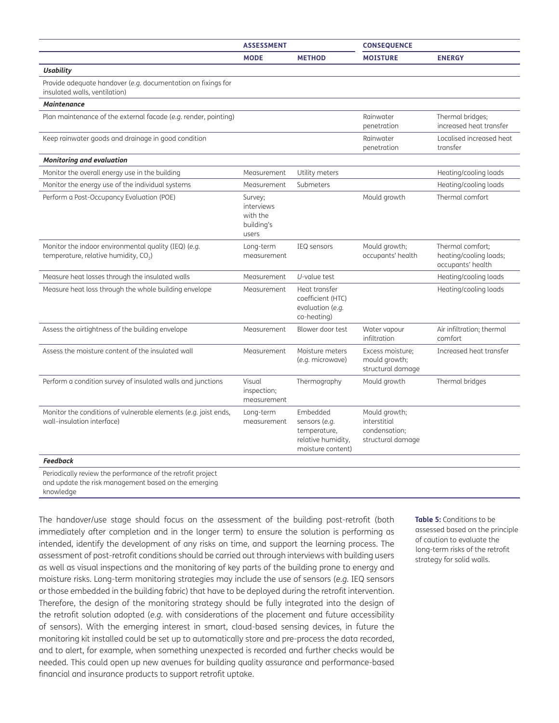|                                                                                                           | <b>ASSESSMENT</b>                                        |                                                                                      | <b>CONSEQUENCE</b>                                                  |                                                                 |
|-----------------------------------------------------------------------------------------------------------|----------------------------------------------------------|--------------------------------------------------------------------------------------|---------------------------------------------------------------------|-----------------------------------------------------------------|
|                                                                                                           | <b>MODE</b>                                              | <b>METHOD</b>                                                                        | <b>MOISTURE</b>                                                     | <b>ENERGY</b>                                                   |
| <b>Usability</b>                                                                                          |                                                          |                                                                                      |                                                                     |                                                                 |
| Provide adequate handover (e.g. documentation on fixings for<br>insulated walls, ventilation)             |                                                          |                                                                                      |                                                                     |                                                                 |
| <b>Maintenance</b>                                                                                        |                                                          |                                                                                      |                                                                     |                                                                 |
| Plan maintenance of the external facade (e.g. render, pointing)                                           |                                                          |                                                                                      | Rainwater<br>penetration                                            | Thermal bridges;<br>increased heat transfer                     |
| Keep rainwater goods and drainage in good condition                                                       |                                                          |                                                                                      | Rainwater<br>penetration                                            | Localised increased heat<br>transfer                            |
| <b>Monitoring and evaluation</b>                                                                          |                                                          |                                                                                      |                                                                     |                                                                 |
| Monitor the overall energy use in the building                                                            | Measurement                                              | Utility meters                                                                       |                                                                     | Heating/cooling loads                                           |
| Monitor the energy use of the individual systems                                                          | Measurement                                              | Submeters                                                                            |                                                                     | Heating/cooling loads                                           |
| Perform a Post-Occupancy Evaluation (POE)                                                                 | Survey;<br>interviews<br>with the<br>building's<br>users |                                                                                      | Mould growth                                                        | Thermal comfort                                                 |
| Monitor the indoor environmental quality (IEQ) (e.g.<br>temperature, relative humidity, CO <sub>2</sub> ) | Long-term<br>measurement                                 | <b>IEQ</b> sensors                                                                   | Mould growth;<br>occupants' health                                  | Thermal comfort:<br>heating/cooling loads;<br>occupants' health |
| Measure heat losses through the insulated walls                                                           | Measurement                                              | $U$ -value test                                                                      |                                                                     | Heating/cooling loads                                           |
| Measure heat loss through the whole building envelope                                                     | Measurement                                              | Heat transfer<br>coefficient (HTC)<br>evaluation (e.g.<br>co-heating)                |                                                                     | Heating/cooling loads                                           |
| Assess the airtightness of the building envelope                                                          | Measurement                                              | Blower door test                                                                     | Water vapour<br>infiltration                                        | Air infiltration; thermal<br>comfort                            |
| Assess the moisture content of the insulated wall                                                         | Measurement                                              | Moisture meters<br>(e.g. microwave)                                                  | Excess moisture;<br>mould growth;<br>structural damage              | Increased heat transfer                                         |
| Perform a condition survey of insulated walls and junctions                                               | Visual<br>inspection;<br>measurement                     | Thermography                                                                         | Mould growth                                                        | Thermal bridges                                                 |
| Monitor the conditions of vulnerable elements (e.g. joist ends,<br>wall-insulation interface)             | Long-term<br>measurement                                 | Embedded<br>sensors (e.g.<br>temperature,<br>relative humidity,<br>moisture content) | Mould growth;<br>interstitial<br>condensation;<br>structural damage |                                                                 |
| <b>Feedback</b>                                                                                           |                                                          |                                                                                      |                                                                     |                                                                 |

Periodically review the performance of the retrofit project and update the risk management based on the emerging knowledge

The handover/use stage should focus on the assessment of the building post-retrofit (both immediately after completion and in the longer term) to ensure the solution is performing as intended, identify the development of any risks on time, and support the learning process. The assessment of post-retrofit conditions should be carried out through interviews with building users as well as visual inspections and the monitoring of key parts of the building prone to energy and moisture risks. Long-term monitoring strategies may include the use of sensors (*e.g.* IEQ sensors or those embedded in the building fabric) that have to be deployed during the retrofit intervention. Therefore, the design of the monitoring strategy should be fully integrated into the design of the retrofit solution adopted (*e.g.* with considerations of the placement and future accessibility of sensors). With the emerging interest in smart, cloud-based sensing devices, in future the monitoring kit installed could be set up to automatically store and pre-process the data recorded, and to alert, for example, when something unexpected is recorded and further checks would be needed. This could open up new avenues for building quality assurance and performance-based financial and insurance products to support retrofit uptake.

<span id="page-9-0"></span>**Table 5:** Conditions to be assessed based on the principle of caution to evaluate the long-term risks of the retrofit strategy for solid walls.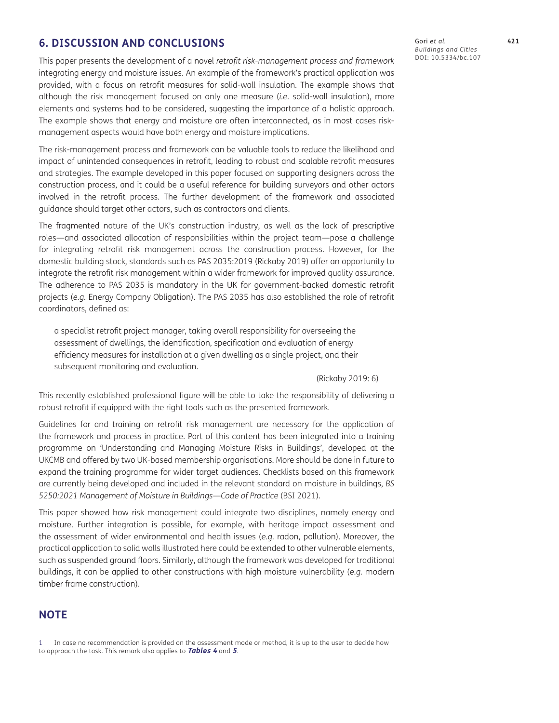#### **6. DISCUSSION AND CONCLUSIONS**

This paper presents the development of a novel *retrofit risk-management process and framework* integrating energy and moisture issues. An example of the framework's practical application was provided, with a focus on retrofit measures for solid-wall insulation. The example shows that although the risk management focused on only one measure (*i.e.* solid-wall insulation), more elements and systems had to be considered, suggesting the importance of a holistic approach. The example shows that energy and moisture are often interconnected, as in most cases riskmanagement aspects would have both energy and moisture implications.

The risk-management process and framework can be valuable tools to reduce the likelihood and impact of unintended consequences in retrofit, leading to robust and scalable retrofit measures and strategies. The example developed in this paper focused on supporting designers across the construction process, and it could be a useful reference for building surveyors and other actors involved in the retrofit process. The further development of the framework and associated guidance should target other actors, such as contractors and clients.

The fragmented nature of the UK's construction industry, as well as the lack of prescriptive roles—and associated allocation of responsibilities within the project team—pose a challenge for integrating retrofit risk management across the construction process. However, for the domestic building stock, standards such as PAS 2035:2019 (Rickaby 2019) offer an opportunity to integrate the retrofit risk management within a wider framework for improved quality assurance. The adherence to PAS 2035 is mandatory in the UK for government-backed domestic retrofit projects (*e.g.* Energy Company Obligation). The PAS 2035 has also established the role of retrofit coordinators, defined as:

a specialist retrofit project manager, taking overall responsibility for overseeing the assessment of dwellings, the identification, specification and evaluation of energy efficiency measures for installation at a given dwelling as a single project, and their subsequent monitoring and evaluation.

(Rickaby 2019: 6)

This recently established professional figure will be able to take the responsibility of delivering a robust retrofit if equipped with the right tools such as the presented framework.

Guidelines for and training on retrofit risk management are necessary for the application of the framework and process in practice. Part of this content has been integrated into a training programme on 'Understanding and Managing Moisture Risks in Buildings', developed at the UKCMB and offered by two UK-based membership organisations. More should be done in future to expand the training programme for wider target audiences. Checklists based on this framework are currently being developed and included in the relevant standard on moisture in buildings, *BS 5250:2021 Management of Moisture in Buildings—Code of Practice* (BSI 2021).

This paper showed how risk management could integrate two disciplines, namely energy and moisture. Further integration is possible, for example, with heritage impact assessment and the assessment of wider environmental and health issues (*e.g.* radon, pollution). Moreover, the practical application to solid walls illustrated here could be extended to other vulnerable elements, such as suspended ground floors. Similarly, although the framework was developed for traditional buildings, it can be applied to other constructions with high moisture vulnerability (*e.g.* modern timber frame construction).

#### **NOTE**

<sup>1</sup> In case no recommendation is provided on the assessment mode or method, it is up to the user to decide how to approach the task. This remark also applies to **[Tables 4](#page-8-0)** and **[5](#page-9-0)**.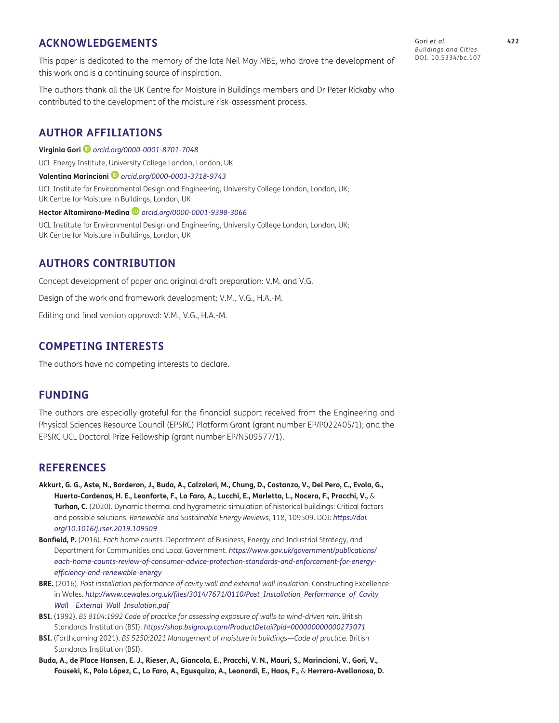#### **ACKNOWLEDGEMENTS**

This paper is dedicated to the memory of the late Neil May MBE, who drove the development of this work and is a continuing source of inspiration.

The authors thank all the UK Centre for Moisture in Buildings members and Dr Peter Rickaby who contributed to the development of the moisture risk-assessment process.

#### <span id="page-11-0"></span>**AUTHOR AFFILIATIONS**

**Virginia Gori** *[orcid.org/0000-0001-8701-7048](https://orcid.org/0000-0001-8701-7048)*

UCL Energy Institute, University College London, London, UK

**Valentina Marincioni***orcid.org[/0000-0003-3718-9743](https://orcid.org/0000-0003-3718-9743)*

UCL Institute for Environmental Design and Engineering, University College London, London, UK; UK Centre for Moisture in Buildings, London, UK

**Hector Altamirano-Medina** *orcid.org/[0000-0001-9398-3066](https://orcid.org/0000-0001-9398-3066)*

UCL Institute for Environmental Design and Engineering, University College London, London, UK; UK Centre for Moisture in Buildings, London, UK

#### **AUTHORS CONTRIBUTION**

Concept development of paper and original draft preparation: V.M. and V.G.

Design of the work and framework development: V.M., V.G., H.A.-M.

Editing and final version approval: V.M., V.G., H.A.-M.

#### **COMPETING INTERESTS**

The authors have no competing interests to declare.

#### **FUNDING**

The authors are especially grateful for the financial support received from the Engineering and Physical Sciences Resource Council (EPSRC) Platform Grant (grant number EP/P022405/1); and the EPSRC UCL Doctoral Prize Fellowship (grant number EP/N509577/1).

#### **REFERENCES**

- **Akkurt, G. G., Aste, N., Borderon, J., Buda, A., Calzolari, M., Chung, D., Costanzo, V., Del Pero, C., Evola, G., Huerto-Cardenas, H. E., Leonforte, F., Lo Faro, A., Lucchi, E., Marletta, L., Nocera, F., Pracchi, V.,** & **Turhan, C.** (2020). Dynamic thermal and hygrometric simulation of historical buildings: Critical factors and possible solutions. *Renewable and Sustainable Energy Reviews*, 118, 109509. DOI: *[https://doi.](https://doi.org/10.1016/j.rser.2019.109509) [org/10.1016/j.rser.2019.109509](https://doi.org/10.1016/j.rser.2019.109509)*
- **Bonfield, P.** (2016). *Each home counts*. Department of Business, Energy and Industrial Strategy, and Department for Communities and Local Government. *[https://www.gov.uk/government/publications/](https://www.gov.uk/government/publications/each-home-counts-review-of-consumer-advice-protection-standards-and-enforcement-for-energy-efficiency-and-renewable-energy) [each-home-counts-review-of-consumer-advice-protection-standards-and-enforcement-for-energy](https://www.gov.uk/government/publications/each-home-counts-review-of-consumer-advice-protection-standards-and-enforcement-for-energy-efficiency-and-renewable-energy)[efficiency-and-renewable-energy](https://www.gov.uk/government/publications/each-home-counts-review-of-consumer-advice-protection-standards-and-enforcement-for-energy-efficiency-and-renewable-energy)*
- **BRE.** (2016). *Post installation performance of cavity wall and external wall insulation*. Constructing Excellence in Wales. *[http://www.cewales.org.uk/files/3014/7671/0110/Post\\_Installation\\_Performance\\_of\\_Cavity\\_](http://www.cewales.org.uk/files/3014/7671/0110/Post_Installation_Performance_of_Cavity_Wall__External_Wall_Insulation.pdf) [Wall\\_\\_External\\_Wall\\_Insulation.pdf](http://www.cewales.org.uk/files/3014/7671/0110/Post_Installation_Performance_of_Cavity_Wall__External_Wall_Insulation.pdf)*
- **BSI.** (1992). *BS 8104:1992 Code of practice for assessing exposure of walls to wind-driven rain*. British Standards Institution (BSI). *<https://shop.bsigroup.com/ProductDetail?pid=000000000000273071>*
- **BSI.** (Forthcoming 2021). *BS 5250:2021 Management of moisture in buildings—Code of practice*. British Standards Institution (BSI).
- **Buda, A., de Place Hansen, E. J., Rieser, A., Giancola, E., Pracchi, V. N., Mauri, S., Marincioni, V., Gori, V., Fouseki, K., Polo López, C., Lo Faro, A., Egusquiza, A., Leonardi, E., Haas, F.,** & **Herrera-Avellanosa, D.**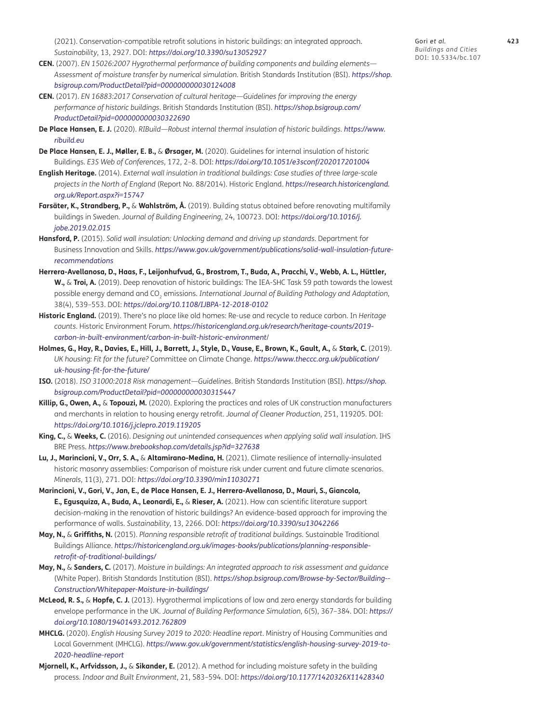(2021). Conservation-compatible retrofit solutions in historic buildings: an integrated approach. *Sustainability*, 13, 2927. DOI: *<https://doi.org/10.3390/su13052927>*

- **CEN.** (2007). *EN 15026:2007 Hygrothermal performance of building components and building elements— Assessment of moisture transfer by numerical simulation*. British Standards Institution (BSI). *[https://shop.](https://shop.bsigroup.com/ProductDetail?pid=000000000030124008) [bsigroup.com/ProductDetail?pid=000000000030124008](https://shop.bsigroup.com/ProductDetail?pid=000000000030124008)*
- **CEN.** (2017). *EN 16883:2017 Conservation of cultural heritage—Guidelines for improving the energy performance of historic buildings*. British Standards Institution (BSI). *[https://shop.bsigroup.com/](https://shop.bsigroup.com/ProductDetail?pid=000000000030322690) [ProductDetail?pid=000000000030322690](https://shop.bsigroup.com/ProductDetail?pid=000000000030322690)*
- **De Place Hansen, E. J.** (2020). *RIBuild—Robust internal thermal insulation of historic buildings*. *[https://www.](https://www.ribuild.eu) [ribuild.eu](https://www.ribuild.eu)*
- **De Place Hansen, E. J., Møller, E. B.,** & **Ørsager, M.** (2020). Guidelines for internal insulation of historic Buildings. *E3S Web of Conferences*, 172, 2–8. DOI: *<https://doi.org/10.1051/e3sconf/202017201004>*
- **English Heritage.** (2014). *External wall insulation in traditional buildings: Case studies of three large-scale projects in the North of England* (Report No. 88/2014). Historic England. *[https://research.historicengland.](https://research.historicengland.org.uk/Report.aspx?i=15747) [org.uk/Report.aspx?i=15747](https://research.historicengland.org.uk/Report.aspx?i=15747)*
- **Farsäter, K., Strandberg, P.,** & **Wahlström, Å.** (2019). Building status obtained before renovating multifamily buildings in Sweden. *Journal of Building Engineering*, 24, 100723. DOI: *[https://doi.org/10.1016/j.](https://doi.org/10.1016/j.jobe.2019.02.015) [jobe.2019.02.015](https://doi.org/10.1016/j.jobe.2019.02.015)*
- **Hansford, P.** (2015). *Solid wall insulation: Unlocking demand and driving up standards*. Department for Business Innovation and Skills. *[https://www.gov.uk/government/publications/solid-wall-insulation-future](https://www.gov.uk/government/publications/solid-wall-insulation-future-recommendations)[recommendations](https://www.gov.uk/government/publications/solid-wall-insulation-future-recommendations)*
- **Herrera-Avellanosa, D., Haas, F., Leijonhufvud, G., Brostrom, T., Buda, A., Pracchi, V., Webb, A. L., Hüttler, W.,** & **Troi, A.** (2019). Deep renovation of historic buildings: The IEA-SHC Task 59 path towards the lowest possible energy demand and CO<sub>2</sub> emissions. *International Journal of Building Pathology and Adaptation*, 38(4), 539–553. DOI: *<https://doi.org/10.1108/IJBPA-12-2018-0102>*
- **Historic England.** (2019). There's no place like old homes: Re-use and recycle to reduce carbon. In *Heritage counts*. Historic Environment Forum. *[https://historicengland.org.uk/research/heritage-counts/2019](https://historicengland.org.uk/research/heritage-counts/2019-carbon-in-built-environment/carbon-in-built-historic-environment) [carbon-in-built-environment/carbon-in-built-historic-environment](https://historicengland.org.uk/research/heritage-counts/2019-carbon-in-built-environment/carbon-in-built-historic-environment)*/
- **Holmes, G., Hay, R., Davies, E., Hill, J., Barrett, J., Style, D., Vause, E., Brown, K., Gault, A.,** & **Stark, C.** (2019). *UK housing: Fit for the future?* Committee on Climate Change. *[https://www.theccc.org.uk/publication/](https://www.theccc.org.uk/publication/uk-housing-fit-for-the-future/) [uk-housing-fit-for-the-future/](https://www.theccc.org.uk/publication/uk-housing-fit-for-the-future/)*
- **ISO.** (2018). *ISO 31000:2018 Risk management—Guidelines*. British Standards Institution (BSI). *[https://shop.](https://shop.bsigroup.com/ProductDetail?pid=000000000030315447) [bsigroup.com/ProductDetail?pid=000000000030315447](https://shop.bsigroup.com/ProductDetail?pid=000000000030315447)*
- **Killip, G., Owen, A.,** & **Topouzi, M.** (2020). Exploring the practices and roles of UK construction manufacturers and merchants in relation to housing energy retrofit. *Journal of Cleaner Production*, 251, 119205. DOI: *<https://doi.org/10.1016/j.jclepro.2019.119205>*
- **King, C.,** & **Weeks, C.** (2016). *Designing out unintended consequences when applying solid wall insulation*. IHS BRE Press. *<https://www.brebookshop.com/details.jsp?id=327638>*
- **Lu, J., Marincioni, V., Orr, S. A.,** & **Altamirano-Medina, H.** (2021). Climate resilience of internally-insulated historic masonry assemblies: Comparison of moisture risk under current and future climate scenarios. *Minerals*, 11(3), 271. DOI: *<https://doi.org/10.3390/min11030271>*
- **Marincioni, V., Gori, V., Jan, E., de Place Hansen, E. J., Herrera-Avellanosa, D., Mauri, S., Giancola, E., Egusquiza, A., Buda, A., Leonardi, E.,** & **Rieser, A.** (2021). How can scientific literature support decision-making in the renovation of historic buildings? An evidence-based approach for improving the performance of walls. *Sustainability*, 13, 2266. DOI: *<https://doi.org/10.3390/su13042266>*
- **May, N.,** & **Griffiths, N.** (2015). *Planning responsible retrofit of traditional buildings*. Sustainable Traditional Buildings Alliance. *[https://historicengland.org.uk/images-books/publications/planning-responsible](https://historicengland.org.uk/images-books/publications/planning-responsible-retrofit-of-traditional-buildings/)[retrofit-of-traditional-buildings/](https://historicengland.org.uk/images-books/publications/planning-responsible-retrofit-of-traditional-buildings/)*
- **May, N.,** & **Sanders, C.** (2017). *Moisture in buildings: An integrated approach to risk assessment and guidance* (White Paper). British Standards Institution (BSI). *[https://shop.bsigroup.com/Browse-by-Sector/Building--](https://shop.bsigroup.com/Browse-by-Sector/Building--Construction/Whitepaper-Moisture-in-buildings/) [Construction/Whitepaper-Moisture-in-buildings/](https://shop.bsigroup.com/Browse-by-Sector/Building--Construction/Whitepaper-Moisture-in-buildings/)*
- **McLeod, R. S.,** & **Hopfe, C. J.** (2013). Hygrothermal implications of low and zero energy standards for building envelope performance in the UK. *Journal of Building Performance Simulation*, 6(5), 367–384. DOI: *[https://](https://doi.org/10.1080/19401493.2012.762809) [doi.org/10.1080/19401493.2012.762809](https://doi.org/10.1080/19401493.2012.762809)*
- **MHCLG.** (2020). *English Housing Survey 2019 to 2020: Headline report*. Ministry of Housing Communities and Local Government (MHCLG). *[https://www.gov.uk/government/statistics/english-housing-survey-2019-to-](https://www.gov.uk/government/statistics/english-housing-survey-2019-to-2020-headline-report)[2020-headline-report](https://www.gov.uk/government/statistics/english-housing-survey-2019-to-2020-headline-report)*
- **Mjornell, K., Arfvidsson, J.,** & **Sikander, E.** (2012). A method for including moisture safety in the building process. *Indoor and Built Environment*, 21, 583–594. DOI: *<https://doi.org/10.1177/1420326X11428340>*

Gori *et al.* **423** *Buildings and Cities* DOI: 10.5334/bc.107